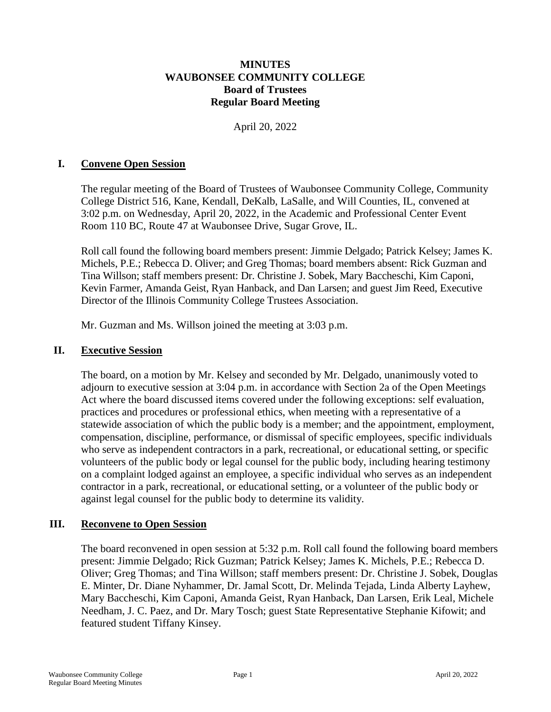### **MINUTES WAUBONSEE COMMUNITY COLLEGE Board of Trustees Regular Board Meeting**

April 20, 2022

### **I. Convene Open Session**

The regular meeting of the Board of Trustees of Waubonsee Community College, Community College District 516, Kane, Kendall, DeKalb, LaSalle, and Will Counties, IL, convened at 3:02 p.m. on Wednesday, April 20, 2022, in the Academic and Professional Center Event Room 110 BC, Route 47 at Waubonsee Drive, Sugar Grove, IL.

Roll call found the following board members present: Jimmie Delgado; Patrick Kelsey; James K. Michels, P.E.; Rebecca D. Oliver; and Greg Thomas; board members absent: Rick Guzman and Tina Willson; staff members present: Dr. Christine J. Sobek, Mary Baccheschi, Kim Caponi, Kevin Farmer, Amanda Geist, Ryan Hanback, and Dan Larsen; and guest Jim Reed, Executive Director of the Illinois Community College Trustees Association.

Mr. Guzman and Ms. Willson joined the meeting at 3:03 p.m.

### **II. Executive Session**

The board, on a motion by Mr. Kelsey and seconded by Mr. Delgado, unanimously voted to adjourn to executive session at 3:04 p.m. in accordance with Section 2a of the Open Meetings Act where the board discussed items covered under the following exceptions: self evaluation, practices and procedures or professional ethics, when meeting with a representative of a statewide association of which the public body is a member; and the appointment, employment, compensation, discipline, performance, or dismissal of specific employees, specific individuals who serve as independent contractors in a park, recreational, or educational setting, or specific volunteers of the public body or legal counsel for the public body, including hearing testimony on a complaint lodged against an employee, a specific individual who serves as an independent contractor in a park, recreational, or educational setting, or a volunteer of the public body or against legal counsel for the public body to determine its validity.

### **III. Reconvene to Open Session**

The board reconvened in open session at 5:32 p.m. Roll call found the following board members present: Jimmie Delgado; Rick Guzman; Patrick Kelsey; James K. Michels, P.E.; Rebecca D. Oliver; Greg Thomas; and Tina Willson; staff members present: Dr. Christine J. Sobek, Douglas E. Minter, Dr. Diane Nyhammer, Dr. Jamal Scott, Dr. Melinda Tejada, Linda Alberty Layhew, Mary Baccheschi, Kim Caponi, Amanda Geist, Ryan Hanback, Dan Larsen, Erik Leal, Michele Needham, J. C. Paez, and Dr. Mary Tosch; guest State Representative Stephanie Kifowit; and featured student Tiffany Kinsey.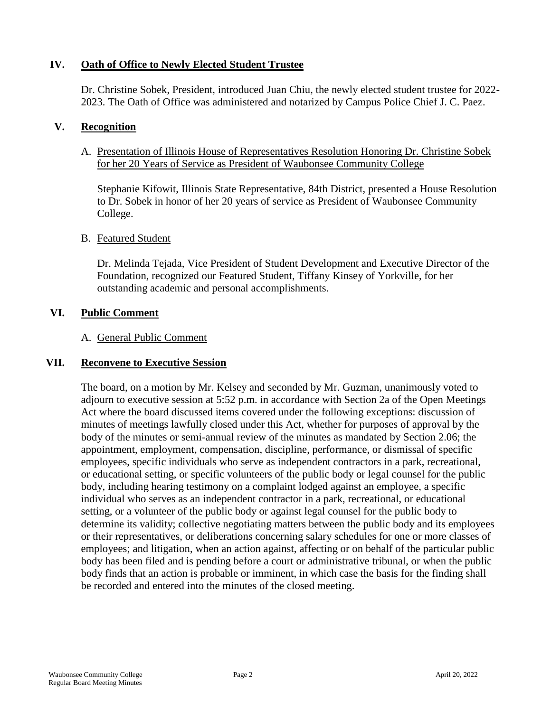## **IV. Oath of Office to Newly Elected Student Trustee**

Dr. Christine Sobek, President, introduced Juan Chiu, the newly elected student trustee for 2022- 2023. The Oath of Office was administered and notarized by Campus Police Chief J. C. Paez.

## **V. Recognition**

A. Presentation of Illinois House of Representatives Resolution Honoring Dr. Christine Sobek for her 20 Years of Service as President of Waubonsee Community College

Stephanie Kifowit, Illinois State Representative, 84th District, presented a House Resolution to Dr. Sobek in honor of her 20 years of service as President of Waubonsee Community College.

### B. Featured Student

Dr. Melinda Tejada, Vice President of Student Development and Executive Director of the Foundation, recognized our Featured Student, Tiffany Kinsey of Yorkville, for her outstanding academic and personal accomplishments.

### **VI. Public Comment**

### A. General Public Comment

### **VII. Reconvene to Executive Session**

The board, on a motion by Mr. Kelsey and seconded by Mr. Guzman, unanimously voted to adjourn to executive session at 5:52 p.m. in accordance with Section 2a of the Open Meetings Act where the board discussed items covered under the following exceptions: discussion of minutes of meetings lawfully closed under this Act, whether for purposes of approval by the body of the minutes or semi-annual review of the minutes as mandated by Section 2.06; the appointment, employment, compensation, discipline, performance, or dismissal of specific employees, specific individuals who serve as independent contractors in a park, recreational, or educational setting, or specific volunteers of the public body or legal counsel for the public body, including hearing testimony on a complaint lodged against an employee, a specific individual who serves as an independent contractor in a park, recreational, or educational setting, or a volunteer of the public body or against legal counsel for the public body to determine its validity; collective negotiating matters between the public body and its employees or their representatives, or deliberations concerning salary schedules for one or more classes of employees; and litigation, when an action against, affecting or on behalf of the particular public body has been filed and is pending before a court or administrative tribunal, or when the public body finds that an action is probable or imminent, in which case the basis for the finding shall be recorded and entered into the minutes of the closed meeting.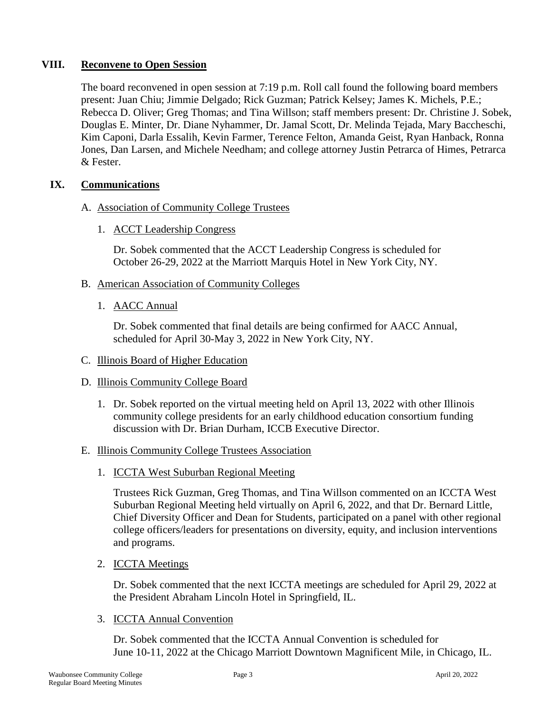## **VIII. Reconvene to Open Session**

The board reconvened in open session at 7:19 p.m. Roll call found the following board members present: Juan Chiu; Jimmie Delgado; Rick Guzman; Patrick Kelsey; James K. Michels, P.E.; Rebecca D. Oliver; Greg Thomas; and Tina Willson; staff members present: Dr. Christine J. Sobek, Douglas E. Minter, Dr. Diane Nyhammer, Dr. Jamal Scott, Dr. Melinda Tejada, Mary Baccheschi, Kim Caponi, Darla Essalih, Kevin Farmer, Terence Felton, Amanda Geist, Ryan Hanback, Ronna Jones, Dan Larsen, and Michele Needham; and college attorney Justin Petrarca of Himes, Petrarca & Fester.

## **IX. Communications**

## A. Association of Community College Trustees

1. ACCT Leadership Congress

Dr. Sobek commented that the ACCT Leadership Congress is scheduled for October 26-29, 2022 at the Marriott Marquis Hotel in New York City, NY.

- B. American Association of Community Colleges
	- 1. AACC Annual

Dr. Sobek commented that final details are being confirmed for AACC Annual, scheduled for April 30-May 3, 2022 in New York City, NY.

## C. Illinois Board of Higher Education

## D. Illinois Community College Board

1. Dr. Sobek reported on the virtual meeting held on April 13, 2022 with other Illinois community college presidents for an early childhood education consortium funding discussion with Dr. Brian Durham, ICCB Executive Director.

## E. Illinois Community College Trustees Association

1. ICCTA West Suburban Regional Meeting

Trustees Rick Guzman, Greg Thomas, and Tina Willson commented on an ICCTA West Suburban Regional Meeting held virtually on April 6, 2022, and that Dr. Bernard Little, Chief Diversity Officer and Dean for Students, participated on a panel with other regional college officers/leaders for presentations on diversity, equity, and inclusion interventions and programs.

2. ICCTA Meetings

Dr. Sobek commented that the next ICCTA meetings are scheduled for April 29, 2022 at the President Abraham Lincoln Hotel in Springfield, IL.

3. ICCTA Annual Convention

Dr. Sobek commented that the ICCTA Annual Convention is scheduled for June 10-11, 2022 at the Chicago Marriott Downtown Magnificent Mile, in Chicago, IL.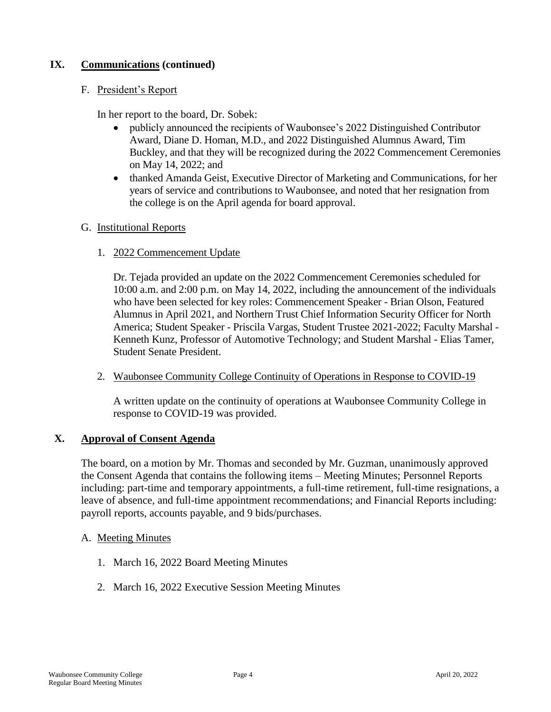## **IX. Communications (continued)**

## F. President's Report

In her report to the board, Dr. Sobek:

- publicly announced the recipients of Waubonsee's 2022 Distinguished Contributor Award, Diane D. Homan, M.D., and 2022 Distinguished Alumnus Award, Tim Buckley, and that they will be recognized during the 2022 Commencement Ceremonies on May 14, 2022; and
- thanked Amanda Geist, Executive Director of Marketing and Communications, for her years of service and contributions to Waubonsee, and noted that her resignation from the college is on the April agenda for board approval.

## G. Institutional Reports

## 1. 2022 Commencement Update

Dr. Tejada provided an update on the 2022 Commencement Ceremonies scheduled for 10:00 a.m. and 2:00 p.m. on May 14, 2022, including the announcement of the individuals who have been selected for key roles: Commencement Speaker - Brian Olson, Featured Alumnus in April 2021, and Northern Trust Chief Information Security Officer for North America; Student Speaker - Priscila Vargas, Student Trustee 2021-2022; Faculty Marshal - Kenneth Kunz, Professor of Automotive Technology; and Student Marshal - Elias Tamer, Student Senate President.

### 2. Waubonsee Community College Continuity of Operations in Response to COVID-19

A written update on the continuity of operations at Waubonsee Community College in response to COVID-19 was provided.

### **X. Approval of Consent Agenda**

The board, on a motion by Mr. Thomas and seconded by Mr. Guzman, unanimously approved the Consent Agenda that contains the following items – Meeting Minutes; Personnel Reports including: part-time and temporary appointments, a full-time retirement, full-time resignations, a leave of absence, and full-time appointment recommendations; and Financial Reports including: payroll reports, accounts payable, and 9 bids/purchases.

### A. Meeting Minutes

- 1. March 16, 2022 Board Meeting Minutes
- 2. March 16, 2022 Executive Session Meeting Minutes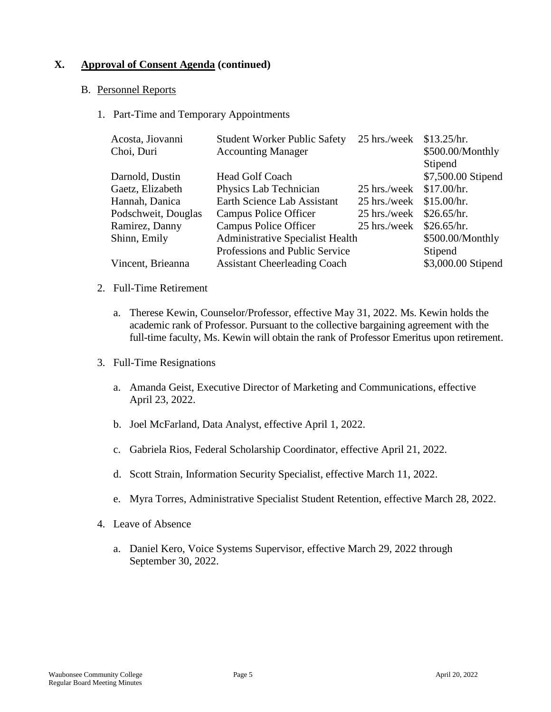### B. Personnel Reports

1. Part-Time and Temporary Appointments

| Acosta, Jiovanni    | <b>Student Worker Public Safety</b>     | 25 hrs./week | \$13.25/hr.        |
|---------------------|-----------------------------------------|--------------|--------------------|
| Choi, Duri          | <b>Accounting Manager</b>               |              | \$500.00/Monthly   |
|                     |                                         |              | Stipend            |
| Darnold, Dustin     | <b>Head Golf Coach</b>                  |              | \$7,500.00 Stipend |
| Gaetz, Elizabeth    | Physics Lab Technician                  | 25 hrs./week | \$17.00/hr.        |
| Hannah, Danica      | Earth Science Lab Assistant             | 25 hrs./week | \$15.00/hr.        |
| Podschweit, Douglas | Campus Police Officer                   | 25 hrs./week | \$26.65/hr.        |
| Ramirez, Danny      | <b>Campus Police Officer</b>            | 25 hrs./week | \$26.65/hr.        |
| Shinn, Emily        | <b>Administrative Specialist Health</b> |              | \$500.00/Monthly   |
|                     | Professions and Public Service          |              | Stipend            |
| Vincent, Brieanna   | <b>Assistant Cheerleading Coach</b>     |              | \$3,000.00 Stipend |

- 2. Full-Time Retirement
	- a. Therese Kewin, Counselor/Professor, effective May 31, 2022. Ms. Kewin holds the academic rank of Professor. Pursuant to the collective bargaining agreement with the full-time faculty, Ms. Kewin will obtain the rank of Professor Emeritus upon retirement.
- 3. Full-Time Resignations
	- a. Amanda Geist, Executive Director of Marketing and Communications, effective April 23, 2022.
	- b. Joel McFarland, Data Analyst, effective April 1, 2022.
	- c. Gabriela Rios, Federal Scholarship Coordinator, effective April 21, 2022.
	- d. Scott Strain, Information Security Specialist, effective March 11, 2022.
	- e. Myra Torres, Administrative Specialist Student Retention, effective March 28, 2022.
- 4. Leave of Absence
	- a. Daniel Kero, Voice Systems Supervisor, effective March 29, 2022 through September 30, 2022.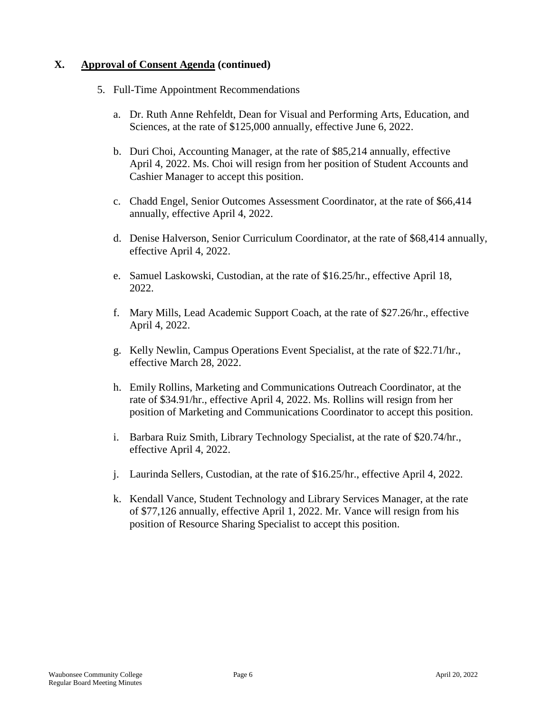- 5. Full-Time Appointment Recommendations
	- a. Dr. Ruth Anne Rehfeldt, Dean for Visual and Performing Arts, Education, and Sciences, at the rate of \$125,000 annually, effective June 6, 2022.
	- b. Duri Choi, Accounting Manager, at the rate of \$85,214 annually, effective April 4, 2022. Ms. Choi will resign from her position of Student Accounts and Cashier Manager to accept this position.
	- c. Chadd Engel, Senior Outcomes Assessment Coordinator, at the rate of \$66,414 annually, effective April 4, 2022.
	- d. Denise Halverson, Senior Curriculum Coordinator, at the rate of \$68,414 annually, effective April 4, 2022.
	- e. Samuel Laskowski, Custodian, at the rate of \$16.25/hr., effective April 18, 2022.
	- f. Mary Mills, Lead Academic Support Coach, at the rate of \$27.26/hr., effective April 4, 2022.
	- g. Kelly Newlin, Campus Operations Event Specialist, at the rate of \$22.71/hr., effective March 28, 2022.
	- h. Emily Rollins, Marketing and Communications Outreach Coordinator, at the rate of \$34.91/hr., effective April 4, 2022. Ms. Rollins will resign from her position of Marketing and Communications Coordinator to accept this position.
	- i. Barbara Ruiz Smith, Library Technology Specialist, at the rate of \$20.74/hr., effective April 4, 2022.
	- j. Laurinda Sellers, Custodian, at the rate of \$16.25/hr., effective April 4, 2022.
	- k. Kendall Vance, Student Technology and Library Services Manager, at the rate of \$77,126 annually, effective April 1, 2022. Mr. Vance will resign from his position of Resource Sharing Specialist to accept this position.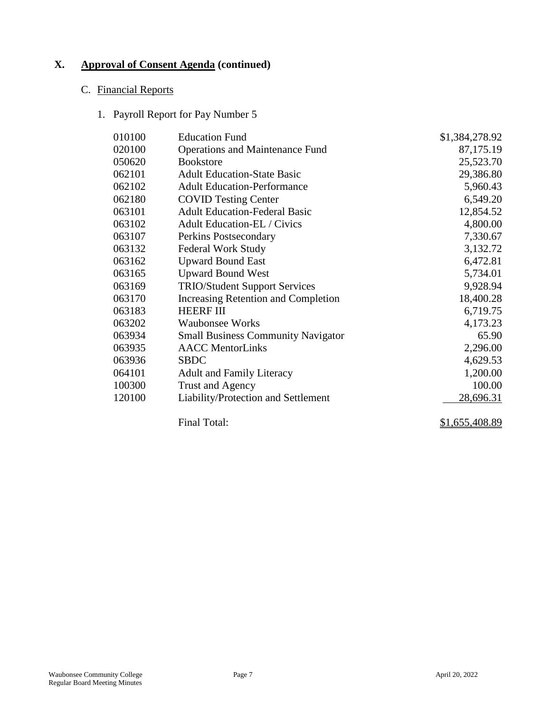## C. Financial Reports

1. Payroll Report for Pay Number 5

| 010100 | <b>Education Fund</b>                     | \$1,384,278.92 |
|--------|-------------------------------------------|----------------|
| 020100 | <b>Operations and Maintenance Fund</b>    | 87,175.19      |
| 050620 | <b>Bookstore</b>                          | 25,523.70      |
| 062101 | <b>Adult Education-State Basic</b>        | 29,386.80      |
| 062102 | <b>Adult Education-Performance</b>        | 5,960.43       |
| 062180 | <b>COVID Testing Center</b>               | 6,549.20       |
| 063101 | <b>Adult Education-Federal Basic</b>      | 12,854.52      |
| 063102 | <b>Adult Education-EL / Civics</b>        | 4,800.00       |
| 063107 | Perkins Postsecondary                     | 7,330.67       |
| 063132 | <b>Federal Work Study</b>                 | 3,132.72       |
| 063162 | <b>Upward Bound East</b>                  | 6,472.81       |
| 063165 | <b>Upward Bound West</b>                  | 5,734.01       |
| 063169 | <b>TRIO/Student Support Services</b>      | 9,928.94       |
| 063170 | Increasing Retention and Completion       | 18,400.28      |
| 063183 | <b>HEERF III</b>                          | 6,719.75       |
| 063202 | <b>Waubonsee Works</b>                    | 4,173.23       |
| 063934 | <b>Small Business Community Navigator</b> | 65.90          |
| 063935 | <b>AACC</b> MentorLinks                   | 2,296.00       |
| 063936 | <b>SBDC</b>                               | 4,629.53       |
| 064101 | <b>Adult and Family Literacy</b>          | 1,200.00       |
| 100300 | <b>Trust and Agency</b>                   | 100.00         |
| 120100 | Liability/Protection and Settlement       | 28,696.31      |
|        |                                           |                |

Final Total: \$1,655,408.89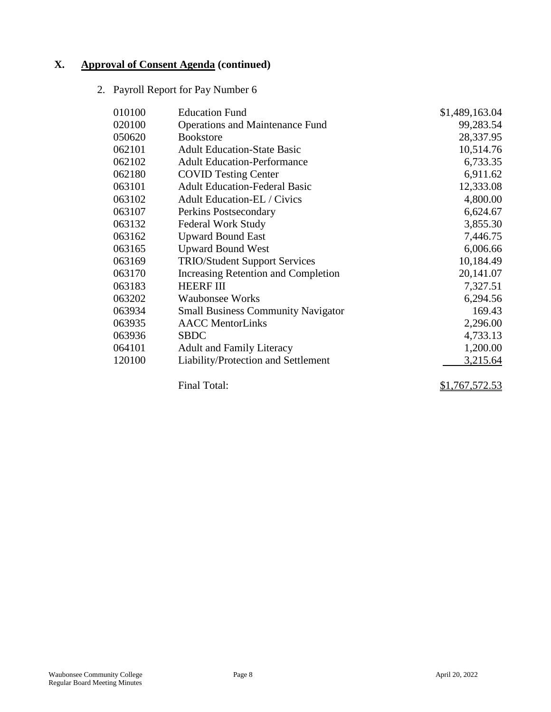2. Payroll Report for Pay Number 6

| 010100 | <b>Education Fund</b>                     | \$1,489,163.04 |
|--------|-------------------------------------------|----------------|
| 020100 | <b>Operations and Maintenance Fund</b>    | 99,283.54      |
| 050620 | <b>Bookstore</b>                          | 28,337.95      |
| 062101 | <b>Adult Education-State Basic</b>        | 10,514.76      |
| 062102 | <b>Adult Education-Performance</b>        | 6,733.35       |
| 062180 | <b>COVID Testing Center</b>               | 6,911.62       |
| 063101 | <b>Adult Education-Federal Basic</b>      | 12,333.08      |
| 063102 | <b>Adult Education-EL / Civics</b>        | 4,800.00       |
| 063107 | Perkins Postsecondary                     | 6,624.67       |
| 063132 | <b>Federal Work Study</b>                 | 3,855.30       |
| 063162 | <b>Upward Bound East</b>                  | 7,446.75       |
| 063165 | <b>Upward Bound West</b>                  | 6,006.66       |
| 063169 | <b>TRIO/Student Support Services</b>      | 10,184.49      |
| 063170 | Increasing Retention and Completion       | 20,141.07      |
| 063183 | <b>HEERF III</b>                          | 7,327.51       |
| 063202 | <b>Waubonsee Works</b>                    | 6,294.56       |
| 063934 | <b>Small Business Community Navigator</b> | 169.43         |
| 063935 | <b>AACC</b> MentorLinks                   | 2,296.00       |
| 063936 | <b>SBDC</b>                               | 4,733.13       |
| 064101 | <b>Adult and Family Literacy</b>          | 1,200.00       |
| 120100 | Liability/Protection and Settlement       | 3,215.64       |
|        | Final Total:                              | \$1,767,572.53 |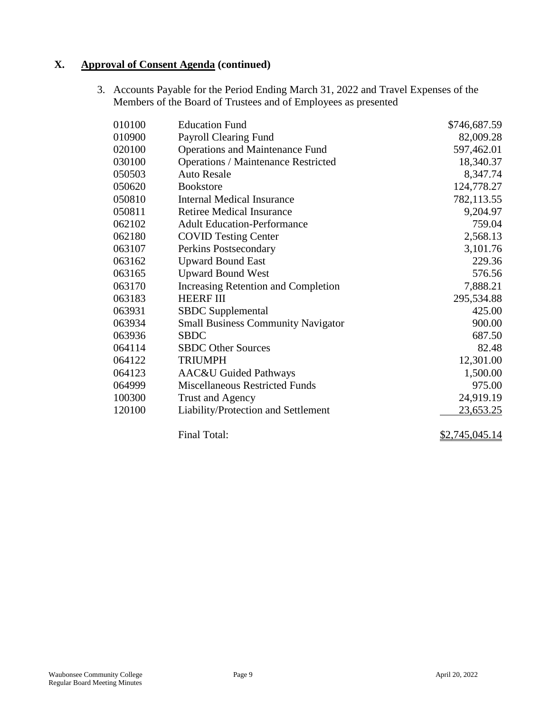3. Accounts Payable for the Period Ending March 31, 2022 and Travel Expenses of the Members of the Board of Trustees and of Employees as presented

| 010100 | <b>Education Fund</b>                      | \$746,687.59   |
|--------|--------------------------------------------|----------------|
| 010900 | Payroll Clearing Fund                      | 82,009.28      |
| 020100 | <b>Operations and Maintenance Fund</b>     | 597,462.01     |
| 030100 | <b>Operations / Maintenance Restricted</b> | 18,340.37      |
| 050503 | <b>Auto Resale</b>                         | 8,347.74       |
| 050620 | <b>Bookstore</b>                           | 124,778.27     |
| 050810 | <b>Internal Medical Insurance</b>          | 782,113.55     |
| 050811 | <b>Retiree Medical Insurance</b>           | 9,204.97       |
| 062102 | <b>Adult Education-Performance</b>         | 759.04         |
| 062180 | <b>COVID Testing Center</b>                | 2,568.13       |
| 063107 | Perkins Postsecondary                      | 3,101.76       |
| 063162 | <b>Upward Bound East</b>                   | 229.36         |
| 063165 | <b>Upward Bound West</b>                   | 576.56         |
| 063170 | Increasing Retention and Completion        | 7,888.21       |
| 063183 | <b>HEERF III</b>                           | 295,534.88     |
| 063931 | <b>SBDC</b> Supplemental                   | 425.00         |
| 063934 | <b>Small Business Community Navigator</b>  | 900.00         |
| 063936 | <b>SBDC</b>                                | 687.50         |
| 064114 | <b>SBDC</b> Other Sources                  | 82.48          |
| 064122 | <b>TRIUMPH</b>                             | 12,301.00      |
| 064123 | <b>AAC&amp;U</b> Guided Pathways           | 1,500.00       |
| 064999 | <b>Miscellaneous Restricted Funds</b>      | 975.00         |
| 100300 | Trust and Agency                           | 24,919.19      |
| 120100 | Liability/Protection and Settlement        | 23,653.25      |
|        | Final Total:                               | \$2,745,045.14 |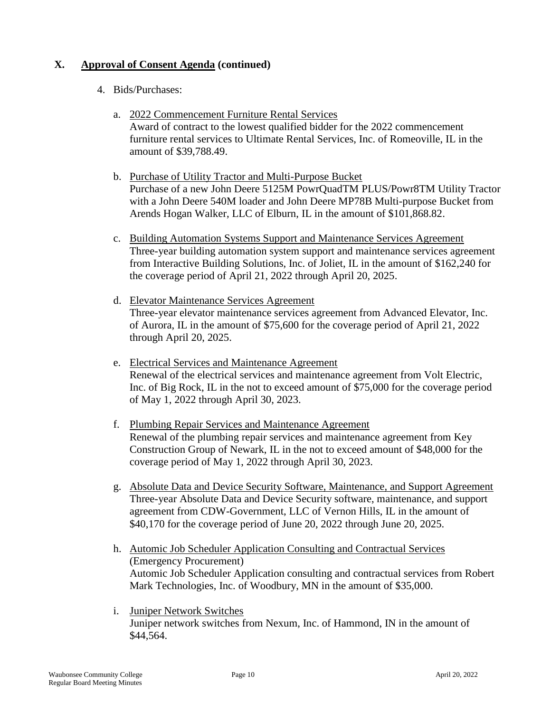## 4. Bids/Purchases:

- a. 2022 Commencement Furniture Rental Services Award of contract to the lowest qualified bidder for the 2022 commencement furniture rental services to Ultimate Rental Services, Inc. of Romeoville, IL in the amount of \$39,788.49.
- b. Purchase of Utility Tractor and Multi-Purpose Bucket Purchase of a new John Deere 5125M PowrQuadTM PLUS/Powr8TM Utility Tractor with a John Deere 540M loader and John Deere MP78B Multi-purpose Bucket from Arends Hogan Walker, LLC of Elburn, IL in the amount of \$101,868.82.
- c. Building Automation Systems Support and Maintenance Services Agreement Three-year building automation system support and maintenance services agreement from Interactive Building Solutions, Inc. of Joliet, IL in the amount of \$162,240 for the coverage period of April 21, 2022 through April 20, 2025.
- d. Elevator Maintenance Services Agreement Three-year elevator maintenance services agreement from Advanced Elevator, Inc. of Aurora, IL in the amount of \$75,600 for the coverage period of April 21, 2022 through April 20, 2025.
- e. Electrical Services and Maintenance Agreement Renewal of the electrical services and maintenance agreement from Volt Electric, Inc. of Big Rock, IL in the not to exceed amount of \$75,000 for the coverage period of May 1, 2022 through April 30, 2023.
- f. Plumbing Repair Services and Maintenance Agreement Renewal of the plumbing repair services and maintenance agreement from Key Construction Group of Newark, IL in the not to exceed amount of \$48,000 for the coverage period of May 1, 2022 through April 30, 2023.
- g. Absolute Data and Device Security Software, Maintenance, and Support Agreement Three-year Absolute Data and Device Security software, maintenance, and support agreement from CDW-Government, LLC of Vernon Hills, IL in the amount of \$40,170 for the coverage period of June 20, 2022 through June 20, 2025.
- h. Automic Job Scheduler Application Consulting and Contractual Services (Emergency Procurement) Automic Job Scheduler Application consulting and contractual services from Robert Mark Technologies, Inc. of Woodbury, MN in the amount of \$35,000.
- i. Juniper Network Switches Juniper network switches from Nexum, Inc. of Hammond, IN in the amount of \$44,564.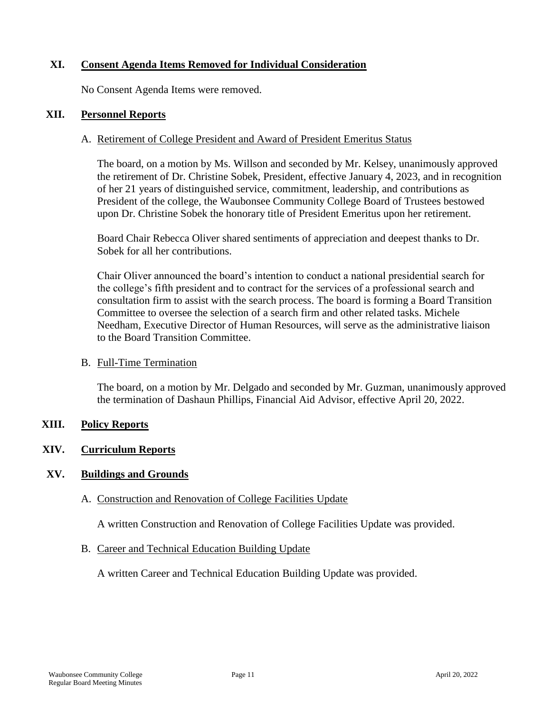## **XI. Consent Agenda Items Removed for Individual Consideration**

No Consent Agenda Items were removed.

### **XII. Personnel Reports**

### A. Retirement of College President and Award of President Emeritus Status

The board, on a motion by Ms. Willson and seconded by Mr. Kelsey, unanimously approved the retirement of Dr. Christine Sobek, President, effective January 4, 2023, and in recognition of her 21 years of distinguished service, commitment, leadership, and contributions as President of the college, the Waubonsee Community College Board of Trustees bestowed upon Dr. Christine Sobek the honorary title of President Emeritus upon her retirement.

Board Chair Rebecca Oliver shared sentiments of appreciation and deepest thanks to Dr. Sobek for all her contributions.

Chair Oliver announced the board's intention to conduct a national presidential search for the college's fifth president and to contract for the services of a professional search and consultation firm to assist with the search process. The board is forming a Board Transition Committee to oversee the selection of a search firm and other related tasks. Michele Needham, Executive Director of Human Resources, will serve as the administrative liaison to the Board Transition Committee.

### B. Full-Time Termination

The board, on a motion by Mr. Delgado and seconded by Mr. Guzman, unanimously approved the termination of Dashaun Phillips, Financial Aid Advisor, effective April 20, 2022.

### **XIII. Policy Reports**

### **XIV. Curriculum Reports**

### **XV. Buildings and Grounds**

A. Construction and Renovation of College Facilities Update

A written Construction and Renovation of College Facilities Update was provided.

B. Career and Technical Education Building Update

A written Career and Technical Education Building Update was provided.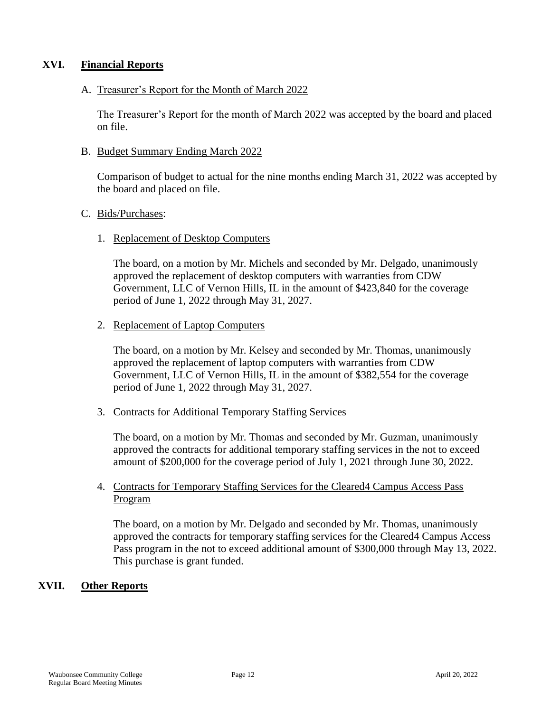## **XVI. Financial Reports**

### A. Treasurer's Report for the Month of March 2022

The Treasurer's Report for the month of March 2022 was accepted by the board and placed on file.

### B. Budget Summary Ending March 2022

Comparison of budget to actual for the nine months ending March 31, 2022 was accepted by the board and placed on file.

### C. Bids/Purchases:

### 1. Replacement of Desktop Computers

The board, on a motion by Mr. Michels and seconded by Mr. Delgado, unanimously approved the replacement of desktop computers with warranties from CDW Government, LLC of Vernon Hills, IL in the amount of \$423,840 for the coverage period of June 1, 2022 through May 31, 2027.

2. Replacement of Laptop Computers

The board, on a motion by Mr. Kelsey and seconded by Mr. Thomas, unanimously approved the replacement of laptop computers with warranties from CDW Government, LLC of Vernon Hills, IL in the amount of \$382,554 for the coverage period of June 1, 2022 through May 31, 2027.

3. Contracts for Additional Temporary Staffing Services

The board, on a motion by Mr. Thomas and seconded by Mr. Guzman, unanimously approved the contracts for additional temporary staffing services in the not to exceed amount of \$200,000 for the coverage period of July 1, 2021 through June 30, 2022.

4. Contracts for Temporary Staffing Services for the Cleared4 Campus Access Pass Program

The board, on a motion by Mr. Delgado and seconded by Mr. Thomas, unanimously approved the contracts for temporary staffing services for the Cleared4 Campus Access Pass program in the not to exceed additional amount of \$300,000 through May 13, 2022. This purchase is grant funded.

## **XVII. Other Reports**